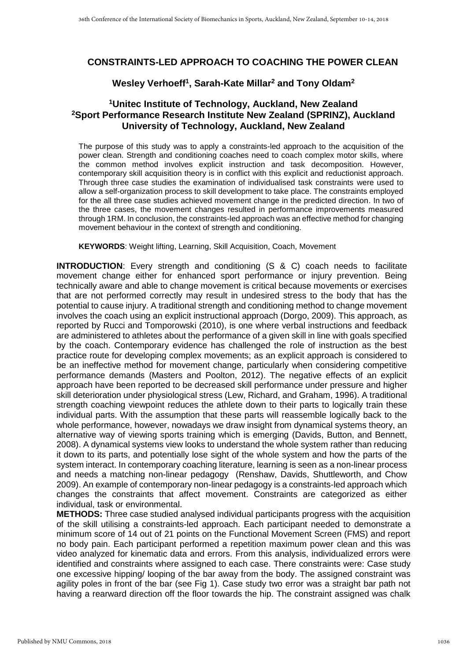## **CONSTRAINTS-LED APPROACH TO COACHING THE POWER CLEAN**

## **Wesley Verhoeff<sup>1</sup> , Sarah-Kate Millar<sup>2</sup> and Tony Oldam<sup>2</sup>**

## **<sup>1</sup>Unitec Institute of Technology, Auckland, New Zealand <sup>2</sup>Sport Performance Research Institute New Zealand (SPRINZ), Auckland University of Technology, Auckland, New Zealand**

The purpose of this study was to apply a constraints-led approach to the acquisition of the power clean. Strength and conditioning coaches need to coach complex motor skills, where the common method involves explicit instruction and task decomposition. However, contemporary skill acquisition theory is in conflict with this explicit and reductionist approach. Through three case studies the examination of individualised task constraints were used to allow a self-organization process to skill development to take place. The constraints employed for the all three case studies achieved movement change in the predicted direction. In two of the three cases, the movement changes resulted in performance improvements measured through 1RM. In conclusion, the constraints-led approach was an effective method for changing movement behaviour in the context of strength and conditioning.

**KEYWORDS**: Weight lifting, Learning, Skill Acquisition, Coach, Movement

**INTRODUCTION:** Every strength and conditioning (S & C) coach needs to facilitate movement change either for enhanced sport performance or injury prevention. Being technically aware and able to change movement is critical because movements or exercises that are not performed correctly may result in undesired stress to the body that has the potential to cause injury. A traditional strength and conditioning method to change movement involves the coach using an explicit instructional approach (Dorgo, 2009). This approach, as reported by Rucci and Tomporowski (2010), is one where verbal instructions and feedback are administered to athletes about the performance of a given skill in line with goals specified by the coach. Contemporary evidence has challenged the role of instruction as the best practice route for developing complex movements; as an explicit approach is considered to be an ineffective method for movement change, particularly when considering competitive performance demands (Masters and Poolton, 2012). The negative effects of an explicit approach have been reported to be decreased skill performance under pressure and higher skill deterioration under physiological stress (Lew, Richard, and Graham, 1996). A traditional strength coaching viewpoint reduces the athlete down to their parts to logically train these individual parts. With the assumption that these parts will reassemble logically back to the whole performance, however, nowadays we draw insight from dynamical systems theory, an alternative way of viewing sports training which is emerging (Davids, Button, and Bennett, 2008). A dynamical systems view looks to understand the whole system rather than reducing it down to its parts, and potentially lose sight of the whole system and how the parts of the system interact. In contemporary coaching literature, learning is seen as a non-linear process and needs a matching non-linear pedagogy (Renshaw, Davids, Shuttleworth, and Chow 2009). An example of contemporary non-linear pedagogy is a constraints-led approach which changes the constraints that affect movement. Constraints are categorized as either individual, task or environmental.

**METHODS:** Three case studied analysed individual participants progress with the acquisition of the skill utilising a constraints-led approach. Each participant needed to demonstrate a minimum score of 14 out of 21 points on the Functional Movement Screen (FMS) and report no body pain. Each participant performed a repetition maximum power clean and this was video analyzed for kinematic data and errors. From this analysis, individualized errors were identified and constraints where assigned to each case. There constraints were: Case study one excessive hipping/ looping of the bar away from the body. The assigned constraint was agility poles in front of the bar (see Fig 1). Case study two error was a straight bar path not having a rearward direction off the floor towards the hip. The constraint assigned was chalk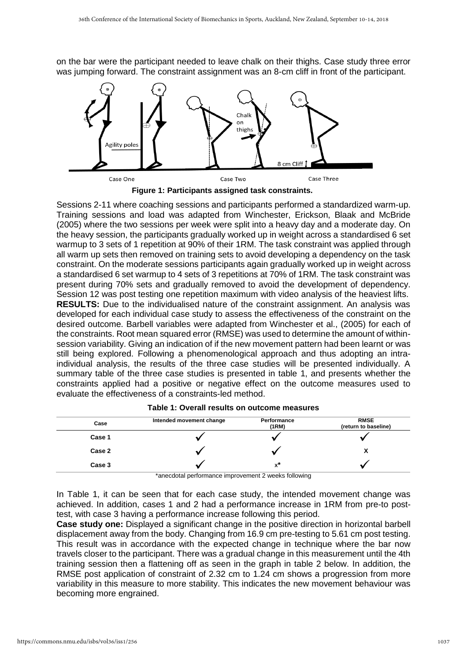on the bar were the participant needed to leave chalk on their thighs. Case study three error was jumping forward. The constraint assignment was an 8-cm cliff in front of the participant.



**Figure 1: Participants assigned task constraints.**

Sessions 2-11 where coaching sessions and participants performed a standardized warm-up. Training sessions and load was adapted from Winchester, Erickson, Blaak and McBride (2005) where the two sessions per week were split into a heavy day and a moderate day. On the heavy session, the participants gradually worked up in weight across a standardised 6 set warmup to 3 sets of 1 repetition at 90% of their 1RM. The task constraint was applied through all warm up sets then removed on training sets to avoid developing a dependency on the task constraint. On the moderate sessions participants again gradually worked up in weight across a standardised 6 set warmup to 4 sets of 3 repetitions at 70% of 1RM. The task constraint was present during 70% sets and gradually removed to avoid the development of dependency. Session 12 was post testing one repetition maximum with video analysis of the heaviest lifts. **RESULTS:** Due to the individualised nature of the constraint assignment. An analysis was developed for each individual case study to assess the effectiveness of the constraint on the desired outcome. Barbell variables were adapted from Winchester et al., (2005) for each of the constraints. Root mean squared error (RMSE) was used to determine the amount of withinsession variability. Giving an indication of if the new movement pattern had been learnt or was still being explored. Following a phenomenological approach and thus adopting an intraindividual analysis, the results of the three case studies will be presented individually. A summary table of the three case studies is presented in table 1, and presents whether the constraints applied had a positive or negative effect on the outcome measures used to evaluate the effectiveness of a constraints-led method.

| Case   | Intended movement change | Performance<br>(1RM) | <b>RMSE</b><br>(return to baseline) |
|--------|--------------------------|----------------------|-------------------------------------|
| Case 1 |                          |                      |                                     |
| Case 2 |                          |                      |                                     |
| Case 3 |                          | $x^*$                |                                     |

**Table 1: Overall results on outcome measures**

\*anecdotal performance improvement 2 weeks following

In Table 1, it can be seen that for each case study, the intended movement change was achieved. In addition, cases 1 and 2 had a performance increase in 1RM from pre-to posttest, with case 3 having a performance increase following this period.

**Case study one:** Displayed a significant change in the positive direction in horizontal barbell displacement away from the body. Changing from 16.9 cm pre-testing to 5.61 cm post testing. This result was in accordance with the expected change in technique where the bar now travels closer to the participant. There was a gradual change in this measurement until the 4th training session then a flattening off as seen in the graph in table 2 below. In addition, the RMSE post application of constraint of 2.32 cm to 1.24 cm shows a progression from more variability in this measure to more stability. This indicates the new movement behaviour was becoming more engrained.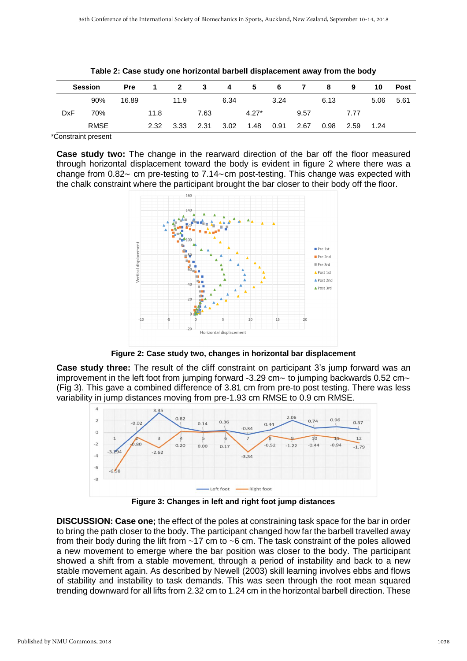|            | <b>Session</b> | <b>Pre</b> | $\mathbf 1$ |      | $2 \t3$ | 4    | $-5$    |      | 6 7  | 8    | 9    | 10   | Post |
|------------|----------------|------------|-------------|------|---------|------|---------|------|------|------|------|------|------|
|            | 90%            | 16.89      |             | 11.9 |         | 6.34 |         | 3.24 |      | 6.13 |      | 5.06 | 5.61 |
| <b>DxF</b> | 70%            |            | 11.8        |      | 7.63    |      | $4.27*$ |      | 9.57 |      | 7.77 |      |      |
|            | <b>RMSE</b>    |            | 2.32        | 3.33 | 2.31    | 3.02 | 1.48    | 0.91 | 2.67 | 0.98 | 2.59 | 1.24 |      |

|  | Table 2: Case study one horizontal barbell displacement away from the body |  |  |  |
|--|----------------------------------------------------------------------------|--|--|--|
|--|----------------------------------------------------------------------------|--|--|--|

\*Constraint present

**Case study two:** The change in the rearward direction of the bar off the floor measured through horizontal displacement toward the body is evident in figure 2 where there was a change from  $0.82 \sim$  cm pre-testing to 7.14 $\sim$ cm post-testing. This change was expected with the chalk constraint where the participant brought the bar closer to their body off the floor.



**Figure 2: Case study two, changes in horizontal bar displacement**

**Case study three:** The result of the cliff constraint on participant 3's jump forward was an improvement in the left foot from jumping forward -3.29 cm $\sim$  to jumping backwards 0.52 cm $\sim$ (Fig 3). This gave a combined difference of 3.81 cm from pre-to post testing. There was less variability in jump distances moving from pre-1.93 cm RMSE to 0.9 cm RMSE.



**Figure 3: Changes in left and right foot jump distances**

**DISCUSSION: Case one;** the effect of the poles at constraining task space for the bar in order to bring the path closer to the body. The participant changed how far the barbell travelled away from their body during the lift from ~17 cm to ~6 cm. The task constraint of the poles allowed a new movement to emerge where the bar position was closer to the body. The participant showed a shift from a stable movement, through a period of instability and back to a new stable movement again. As described by Newell (2003) skill learning involves ebbs and flows of stability and instability to task demands. This was seen through the root mean squared trending downward for all lifts from 2.32 cm to 1.24 cm in the horizontal barbell direction. These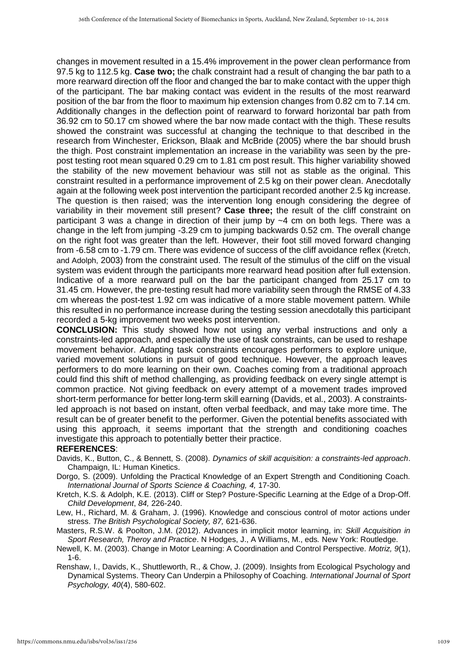changes in movement resulted in a 15.4% improvement in the power clean performance from 97.5 kg to 112.5 kg. **Case two;** the chalk constraint had a result of changing the bar path to a more rearward direction off the floor and changed the bar to make contact with the upper thigh of the participant. The bar making contact was evident in the results of the most rearward position of the bar from the floor to maximum hip extension changes from 0.82 cm to 7.14 cm. Additionally changes in the deflection point of rearward to forward horizontal bar path from 36.92 cm to 50.17 cm showed where the bar now made contact with the thigh. These results showed the constraint was successful at changing the technique to that described in the research from Winchester, Erickson, Blaak and McBride (2005) where the bar should brush the thigh. Post constraint implementation an increase in the variability was seen by the prepost testing root mean squared 0.29 cm to 1.81 cm post result. This higher variability showed the stability of the new movement behaviour was still not as stable as the original. This constraint resulted in a performance improvement of 2.5 kg on their power clean. Anecdotally again at the following week post intervention the participant recorded another 2.5 kg increase. The question is then raised; was the intervention long enough considering the degree of variability in their movement still present? **Case three;** the result of the cliff constraint on participant 3 was a change in direction of their jump by ~4 cm on both legs. There was a change in the left from jumping -3.29 cm to jumping backwards 0.52 cm. The overall change on the right foot was greater than the left. However, their foot still moved forward changing from -6.58 cm to -1.79 cm. There was evidence of success of the cliff avoidance reflex (Kretch, and Adolph, 2003) from the constraint used. The result of the stimulus of the cliff on the visual system was evident through the participants more rearward head position after full extension. Indicative of a more rearward pull on the bar the participant changed from 25.17 cm to 31.45 cm. However, the pre-testing result had more variability seen through the RMSE of 4.33 cm whereas the post-test 1.92 cm was indicative of a more stable movement pattern. While this resulted in no performance increase during the testing session anecdotally this participant recorded a 5-kg improvement two weeks post intervention.

**CONCLUSION:** This study showed how not using any verbal instructions and only a constraints-led approach, and especially the use of task constraints, can be used to reshape movement behavior. Adapting task constraints encourages performers to explore unique, varied movement solutions in pursuit of good technique. However, the approach leaves performers to do more learning on their own. Coaches coming from a traditional approach could find this shift of method challenging, as providing feedback on every single attempt is common practice. Not giving feedback on every attempt of a movement trades improved short-term performance for better long-term skill earning (Davids, et al., 2003). A constraintsled approach is not based on instant, often verbal feedback, and may take more time. The result can be of greater benefit to the performer. Given the potential benefits associated with using this approach, it seems important that the strength and conditioning coaches investigate this approach to potentially better their practice.

## **REFERENCES**:

- Davids, K., Button, C., & Bennett, S. (2008). *Dynamics of skill acquisition: a constraints-led approach*. Champaign, IL: Human Kinetics.
- Dorgo, S. (2009). Unfolding the Practical Knowledge of an Expert Strength and Conditioning Coach. *International Journal of Sports Science & Coaching, 4,* 17-30.
- Kretch, K.S. & Adolph, K.E. (2013). Cliff or Step? Posture-Specific Learning at the Edge of a Drop-Off. *Child Development*, *84,* 226-240.
- Lew, H., Richard, M. & Graham, J. (1996). Knowledge and conscious control of motor actions under stress. *The British Psychological Society, 87,* 621-636.
- Masters, R.S.W. & Poolton, J.M. (2012). Advances in implicit motor learning, in: *Skill Acquisition in Sport Research, Theroy and Practice*. N Hodges, J., A Williams, M., eds*.* New York: Routledge.
- Newell, K. M. (2003). Change in Motor Learning: A Coordination and Control Perspective. *Motriz, 9*(1), 1-6.
- Renshaw, I., Davids, K., Shuttleworth, R., & Chow, J. (2009). Insights from Ecological Psychology and Dynamical Systems. Theory Can Underpin a Philosophy of Coaching. *International Journal of Sport Psychology, 40*(4), 580-602.